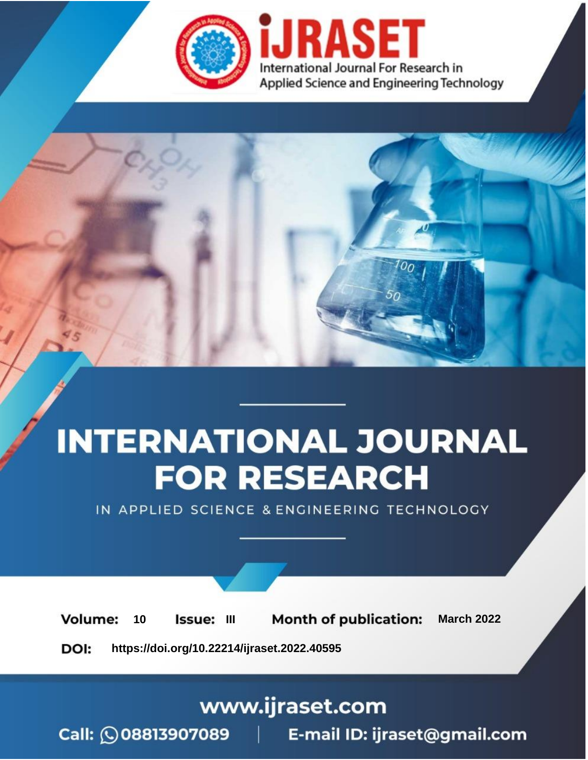

# **INTERNATIONAL JOURNAL FOR RESEARCH**

IN APPLIED SCIENCE & ENGINEERING TECHNOLOGY

10 **Issue: III Month of publication:** March 2022 **Volume:** 

**https://doi.org/10.22214/ijraset.2022.40595**DOI:

www.ijraset.com

Call: 008813907089 | E-mail ID: ijraset@gmail.com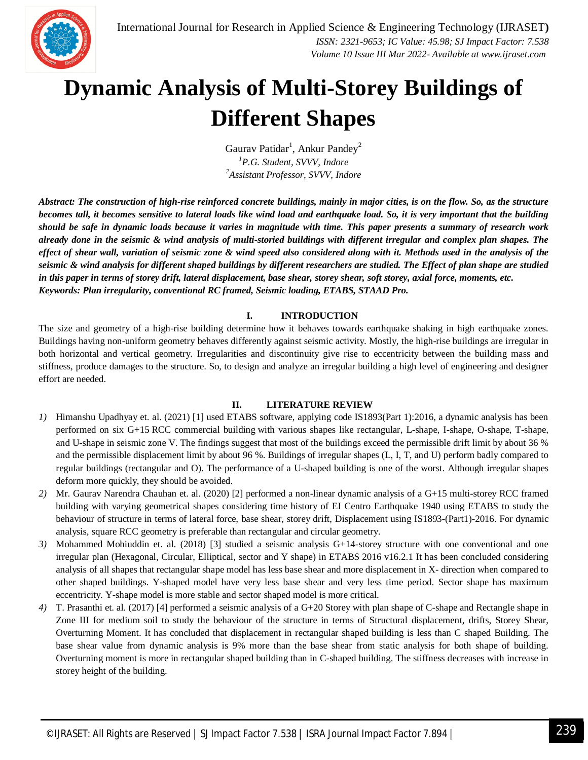

### **Dynamic Analysis of Multi-Storey Buildings of Different Shapes**

Gaurav Patidar<sup>1</sup>, Ankur Pandey<sup>2</sup> *<sup>1</sup>P.G. Student, SVVV, Indore <sup>2</sup>Assistant Professor, SVVV, Indore*

*Abstract: The construction of high-rise reinforced concrete buildings, mainly in major cities, is on the flow. So, as the structure becomes tall, it becomes sensitive to lateral loads like wind load and earthquake load. So, it is very important that the building should be safe in dynamic loads because it varies in magnitude with time. This paper presents a summary of research work already done in the seismic & wind analysis of multi-storied buildings with different irregular and complex plan shapes. The effect of shear wall, variation of seismic zone & wind speed also considered along with it. Methods used in the analysis of the seismic & wind analysis for different shaped buildings by different researchers are studied. The Effect of plan shape are studied in this paper in terms of storey drift, lateral displacement, base shear, storey shear, soft storey, axial force, moments, etc. Keywords: Plan irregularity, conventional RC framed, Seismic loading, ETABS, STAAD Pro.*

#### **I. INTRODUCTION**

The size and geometry of a high-rise building determine how it behaves towards earthquake shaking in high earthquake zones. Buildings having non-uniform geometry behaves differently against seismic activity. Mostly, the high-rise buildings are irregular in both horizontal and vertical geometry. Irregularities and discontinuity give rise to eccentricity between the building mass and stiffness, produce damages to the structure. So, to design and analyze an irregular building a high level of engineering and designer effort are needed.

#### **II. LITERATURE REVIEW**

- *1)* Himanshu Upadhyay et. al. (2021) [1] used ETABS software, applying code IS1893(Part 1):2016, a dynamic analysis has been performed on six G+15 RCC commercial building with various shapes like rectangular, L-shape, I-shape, O-shape, T-shape, and U-shape in seismic zone V. The findings suggest that most of the buildings exceed the permissible drift limit by about 36 % and the permissible displacement limit by about 96 %. Buildings of irregular shapes (L, I, T, and U) perform badly compared to regular buildings (rectangular and O). The performance of a U-shaped building is one of the worst. Although irregular shapes deform more quickly, they should be avoided.
- *2)* Mr. Gaurav Narendra Chauhan et. al. (2020) [2] performed a non-linear dynamic analysis of a G+15 multi-storey RCC framed building with varying geometrical shapes considering time history of EI Centro Earthquake 1940 using ETABS to study the behaviour of structure in terms of lateral force, base shear, storey drift, Displacement using IS1893-(Part1)-2016. For dynamic analysis, square RCC geometry is preferable than rectangular and circular geometry.
- *3)* Mohammed Mohiuddin et. al. (2018) [3] studied a seismic analysis G+14-storey structure with one conventional and one irregular plan (Hexagonal, Circular, Elliptical, sector and Y shape) in ETABS 2016 v16.2.1 It has been concluded considering analysis of all shapes that rectangular shape model has less base shear and more displacement in X- direction when compared to other shaped buildings. Y-shaped model have very less base shear and very less time period. Sector shape has maximum eccentricity. Y-shape model is more stable and sector shaped model is more critical.
- *4)* T. Prasanthi et. al. (2017) [4] performed a seismic analysis of a G+20 Storey with plan shape of C-shape and Rectangle shape in Zone III for medium soil to study the behaviour of the structure in terms of Structural displacement, drifts, Storey Shear, Overturning Moment. It has concluded that displacement in rectangular shaped building is less than C shaped Building. The base shear value from dynamic analysis is 9% more than the base shear from static analysis for both shape of building. Overturning moment is more in rectangular shaped building than in C-shaped building. The stiffness decreases with increase in storey height of the building.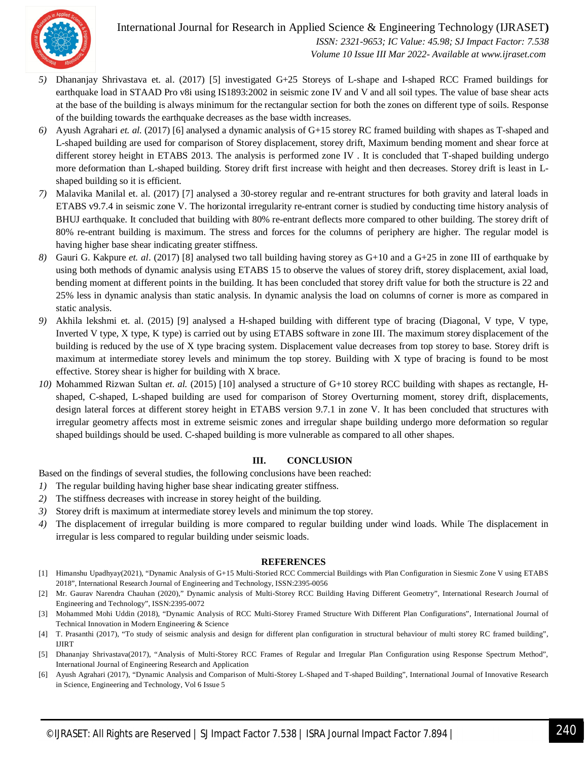

#### International Journal for Research in Applied Science & Engineering Technology (IJRASET**)**  *ISSN: 2321-9653; IC Value: 45.98; SJ Impact Factor: 7.538*

 *Volume 10 Issue III Mar 2022- Available at www.ijraset.com*

- *5)* Dhananjay Shrivastava et. al. (2017) [5] investigated G+25 Storeys of L-shape and I-shaped RCC Framed buildings for earthquake load in STAAD Pro v8i using IS1893:2002 in seismic zone IV and V and all soil types. The value of base shear acts at the base of the building is always minimum for the rectangular section for both the zones on different type of soils. Response of the building towards the earthquake decreases as the base width increases.
- *6)* Ayush Agrahari *et. al.* (2017) [6] analysed a dynamic analysis of G+15 storey RC framed building with shapes as T-shaped and L-shaped building are used for comparison of Storey displacement, storey drift, Maximum bending moment and shear force at different storey height in ETABS 2013. The analysis is performed zone IV . It is concluded that T-shaped building undergo more deformation than L-shaped building. Storey drift first increase with height and then decreases. Storey drift is least in Lshaped building so it is efficient.
- *7)* Malavika Manilal et. al. (2017) [7] analysed a 30-storey regular and re-entrant structures for both gravity and lateral loads in ETABS v9.7.4 in seismic zone V. The horizontal irregularity re-entrant corner is studied by conducting time history analysis of BHUJ earthquake. It concluded that building with 80% re-entrant deflects more compared to other building. The storey drift of 80% re-entrant building is maximum. The stress and forces for the columns of periphery are higher. The regular model is having higher base shear indicating greater stiffness.
- *8)* Gauri G. Kakpure *et. al*. (2017) [8] analysed two tall building having storey as G+10 and a G+25 in zone III of earthquake by using both methods of dynamic analysis using ETABS 15 to observe the values of storey drift, storey displacement, axial load, bending moment at different points in the building. It has been concluded that storey drift value for both the structure is 22 and 25% less in dynamic analysis than static analysis. In dynamic analysis the load on columns of corner is more as compared in static analysis.
- *9)* Akhila lekshmi et. al. (2015) [9] analysed a H-shaped building with different type of bracing (Diagonal, V type, V type, Inverted V type, X type, K type) is carried out by using ETABS software in zone III. The maximum storey displacement of the building is reduced by the use of X type bracing system. Displacement value decreases from top storey to base. Storey drift is maximum at intermediate storey levels and minimum the top storey. Building with X type of bracing is found to be most effective. Storey shear is higher for building with X brace.
- *10)* Mohammed Rizwan Sultan *et. al.* (2015) [10] analysed a structure of G+10 storey RCC building with shapes as rectangle, Hshaped, C-shaped, L-shaped building are used for comparison of Storey Overturning moment, storey drift, displacements, design lateral forces at different storey height in ETABS version 9.7.1 in zone V. It has been concluded that structures with irregular geometry affects most in extreme seismic zones and irregular shape building undergo more deformation so regular shaped buildings should be used. C-shaped building is more vulnerable as compared to all other shapes.

#### **III. CONCLUSION**

Based on the findings of several studies, the following conclusions have been reached:

- *1)* The regular building having higher base shear indicating greater stiffness.
- *2)* The stiffness decreases with increase in storey height of the building.
- *3)* Storey drift is maximum at intermediate storey levels and minimum the top storey.
- *4)* The displacement of irregular building is more compared to regular building under wind loads. While The displacement in irregular is less compared to regular building under seismic loads.

#### **REFERENCES**

- [1] Himanshu Upadhyay(2021), "Dynamic Analysis of G+15 Multi-Storied RCC Commercial Buildings with Plan Configuration in Siesmic Zone V using ETABS 2018", International Research Journal of Engineering and Technology, ISSN:2395-0056
- [2] Mr. Gaurav Narendra Chauhan (2020)," Dynamic analysis of Multi-Storey RCC Building Having Different Geometry", International Research Journal of Engineering and Technology", ISSN:2395-0072
- [3] Mohammed Mohi Uddin (2018), "Dynamic Analysis of RCC Multi-Storey Framed Structure With Different Plan Configurations", International Journal of Technical Innovation in Modern Engineering & Science
- [4] T. Prasanthi (2017), "To study of seismic analysis and design for different plan configuration in structural behaviour of multi storey RC framed building", IJIRT
- [5] Dhananjay Shrivastava(2017), "Analysis of Multi-Storey RCC Frames of Regular and Irregular Plan Configuration using Response Spectrum Method", International Journal of Engineering Research and Application
- [6] Ayush Agrahari (2017), "Dynamic Analysis and Comparison of Multi-Storey L-Shaped and T-shaped Building", International Journal of Innovative Research in Science, Engineering and Technology, Vol 6 Issue 5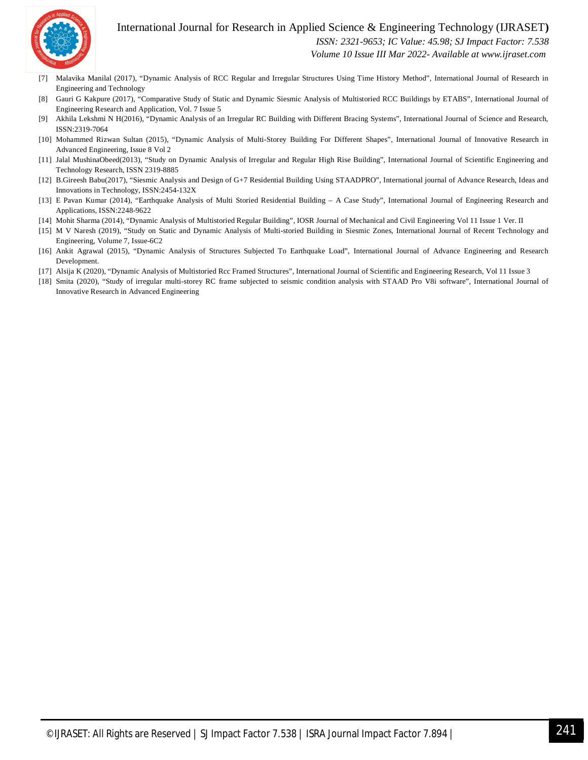

#### International Journal for Research in Applied Science & Engineering Technology (IJRASET**)**

 *ISSN: 2321-9653; IC Value: 45.98; SJ Impact Factor: 7.538*

 *Volume 10 Issue III Mar 2022- Available at www.ijraset.com*

- [7] Malavika Manilal (2017), "Dynamic Analysis of RCC Regular and Irregular Structures Using Time History Method", International Journal of Research in Engineering and Technology
- [8] Gauri G Kakpure (2017), "Comparative Study of Static and Dynamic Siesmic Analysis of Multistoried RCC Buildings by ETABS", International Journal of Engineering Research and Application, Vol. 7 Issue 5
- [9] Akhila Lekshmi N H(2016), "Dynamic Analysis of an Irregular RC Building with Different Bracing Systems", International Journal of Science and Research, ISSN:2319-7064
- [10] Mohammed Rizwan Sultan (2015), "Dynamic Analysis of Multi-Storey Building For Different Shapes", International Journal of Innovative Research in Advanced Engineering, Issue 8 Vol 2
- [11] Jalal MushinaObeed(2013), "Study on Dynamic Analysis of Irregular and Regular High Rise Building", International Journal of Scientific Engineering and Technology Research, ISSN 2319-8885
- [12] B.Gireesh Babu(2017), "Siesmic Analysis and Design of G+7 Residential Building Using STAADPRO", International journal of Advance Research, Ideas and Innovations in Technology, ISSN:2454-132X
- [13] E Pavan Kumar (2014), "Earthquake Analysis of Multi Storied Residential Building A Case Study", International Journal of Engineering Research and Applications, ISSN:2248-9622
- [14] Mohit Sharma (2014), "Dynamic Analysis of Multistoried Regular Building", IOSR Journal of Mechanical and Civil Engineering Vol 11 Issue 1 Ver. II
- [15] M V Naresh (2019), "Study on Static and Dynamic Analysis of Multi-storied Building in Siesmic Zones, International Journal of Recent Technology and Engineering, Volume 7, Issue-6C2
- [16] Ankit Agrawal (2015), "Dynamic Analysis of Structures Subjected To Earthquake Load", International Journal of Advance Engineering and Research Development.
- [17] Alsija K (2020), "Dynamic Analysis of Multistoried Rcc Framed Structures", International Journal of Scientific and Engineering Research, Vol 11 Issue 3
- [18] Smita (2020), "Study of irregular multi-storey RC frame subjected to seismic condition analysis with STAAD Pro V8i software", International Journal of Innovative Research in Advanced Engineering